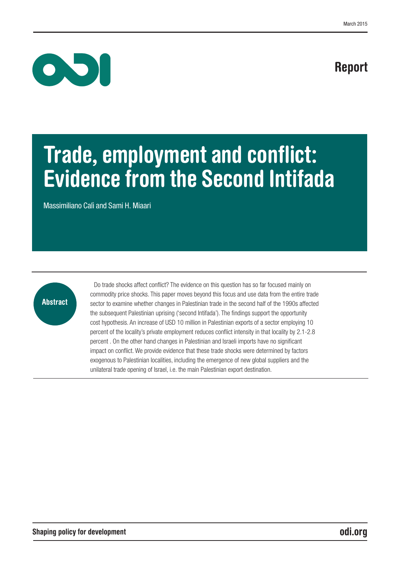# Report



# Trade, employment and conflict: Evidence from the Second Intifada

Massimiliano Calì and Sami H. Miaari



Do trade shocks affect conflict? The evidence on this question has so far focused mainly on commodity price shocks. This paper moves beyond this focus and use data from the entire trade sector to examine whether changes in Palestinian trade in the second half of the 1990s affected the subsequent Palestinian uprising ('second Intifada'). The findings support the opportunity cost hypothesis. An increase of USD 10 million in Palestinian exports of a sector employing 10 percent of the locality's private employment reduces conflict intensity in that locality by 2.1-2.8 percent . On the other hand changes in Palestinian and Israeli imports have no significant impact on conflict. We provide evidence that these trade shocks were determined by factors exogenous to Palestinian localities, including the emergence of new global suppliers and the unilateral trade opening of Israel, i.e. the main Palestinian export destination.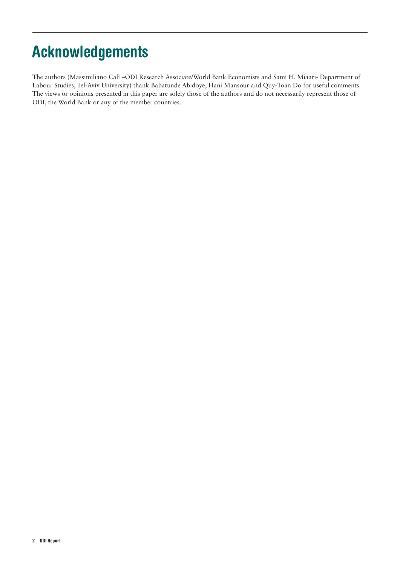# Acknowledgements

The authors (Massimiliano Calì –ODI Research Associate/World Bank Economists and Sami H. Miaari- Department of Labour Studies, Tel-Aviv University) thank Babatunde Abidoye, Hani Mansour and Quy-Toan Do for useful comments. The views or opinions presented in this paper are solely those of the authors and do not necessarily represent those of ODI, the World Bank or any of the member countries.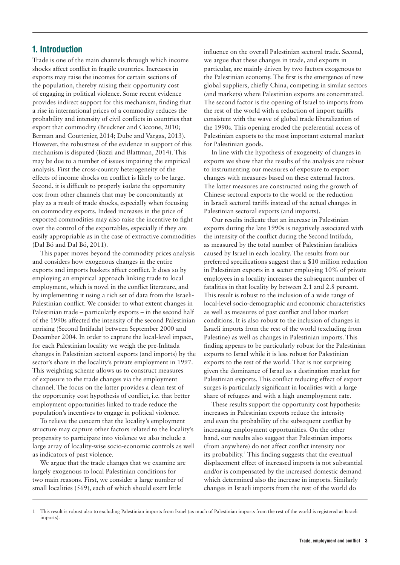# 1. Introduction

Trade is one of the main channels through which income shocks affect conflict in fragile countries. Increases in exports may raise the incomes for certain sections of the population, thereby raising their opportunity cost of engaging in political violence. Some recent evidence provides indirect support for this mechanism, finding that a rise in international prices of a commodity reduces the probability and intensity of civil conflicts in countries that export that commodity (Bruckner and Ciccone, 2010; Berman and Couttenier, 2014; Dube and Vargas, 2013). However, the robustness of the evidence in support of this mechanism is disputed (Bazzi and Blattman, 2014). This may be due to a number of issues impairing the empirical analysis. First the cross-country heterogeneity of the effects of income shocks on conflict is likely to be large. Second, it is difficult to properly isolate the opportunity cost from other channels that may be concomitantly at play as a result of trade shocks, especially when focusing on commodity exports. Indeed increases in the price of exported commodities may also raise the incentive to fight over the control of the exportables, especially if they are easily appropriable as in the case of extractive commodities (Dal Bó and Dal Bó, 2011).

This paper moves beyond the commodity prices analysis and considers how exogenous changes in the entire exports and imports baskets affect conflict. It does so by employing an empirical approach linking trade to local employment, which is novel in the conflict literature, and by implementing it using a rich set of data from the Israeli-Palestinian conflict. We consider to what extent changes in Palestinian trade – particularly exports – in the second half of the 1990s affected the intensity of the second Palestinian uprising (Second Intifada) between September 2000 and December 2004. In order to capture the local-level impact, for each Palestinian locality we weigh the pre-Infitada changes in Palestinian sectoral exports (and imports) by the sector's share in the locality's private employment in 1997. This weighting scheme allows us to construct measures of exposure to the trade changes via the employment channel. The focus on the latter provides a clean test of the opportunity cost hypothesis of conflict, i.e. that better employment opportunities linked to trade reduce the population's incentives to engage in political violence.

To relieve the concern that the locality's employment structure may capture other factors related to the locality's propensity to participate into violence we also include a large array of locality-wise socio-economic controls as well as indicators of past violence.

We argue that the trade changes that we examine are largely exogenous to local Palestinian conditions for two main reasons. First, we consider a large number of small localities (569), each of which should exert little

influence on the overall Palestinian sectoral trade. Second, we argue that these changes in trade, and exports in particular, are mainly driven by two factors exogenous to the Palestinian economy. The first is the emergence of new global suppliers, chiefly China, competing in similar sectors (and markets) where Palestinian exports are concentrated. The second factor is the opening of Israel to imports from the rest of the world with a reduction of import tariffs consistent with the wave of global trade liberalization of the 1990s. This opening eroded the preferential access of Palestinian exports to the most important external market for Palestinian goods.

In line with the hypothesis of exogeneity of changes in exports we show that the results of the analysis are robust to instrumenting our measures of exposure to export changes with measures based on these external factors. The latter measures are constructed using the growth of Chinese sectoral exports to the world or the reduction in Israeli sectoral tariffs instead of the actual changes in Palestinian sectoral exports (and imports).

Our results indicate that an increase in Palestinian exports during the late 1990s is negatively associated with the intensity of the conflict during the Second Intifada, as measured by the total number of Palestinian fatalities caused by Israel in each locality. The results from our preferred specifications suggest that a \$10 million reduction in Palestinian exports in a sector employing 10% of private employees in a locality increases the subsequent number of fatalities in that locality by between 2.1 and 2.8 percent. This result is robust to the inclusion of a wide range of local-level socio-demographic and economic characteristics as well as measures of past conflict and labor market conditions. It is also robust to the inclusion of changes in Israeli imports from the rest of the world (excluding from Palestine) as well as changes in Palestinian imports. This finding appears to be particularly robust for the Palestinian exports to Israel while it is less robust for Palestinian exports to the rest of the world. That is not surprising given the dominance of Israel as a destination market for Palestinian exports. This conflict reducing effect of export surges is particularly significant in localities with a large share of refugees and with a high unemployment rate.

These results support the opportunity cost hypothesis: increases in Palestinian exports reduce the intensity and even the probability of the subsequent conflict by increasing employment opportunities. On the other hand, our results also suggest that Palestinian imports (from anywhere) do not affect conflict intensity nor its probability.<sup>1</sup> This finding suggests that the eventual displacement effect of increased imports is not substantial and/or is compensated by the increased domestic demand which determined also the increase in imports. Similarly changes in Israeli imports from the rest of the world do

<sup>1</sup> This result is robust also to excluding Palestinian imports from Israel (as much of Palestinian imports from the rest of the world is registered as Israeli imports).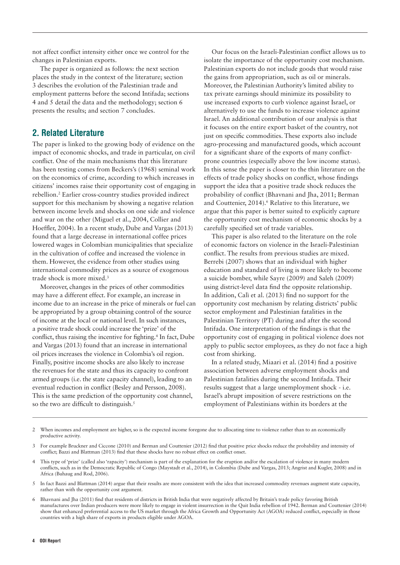not affect conflict intensity either once we control for the changes in Palestinian exports.

The paper is organized as follows: the next section places the study in the context of the literature; section 3 describes the evolution of the Palestinian trade and employment patterns before the second Intifada; sections 4 and 5 detail the data and the methodology; section 6 presents the results; and section 7 concludes.

# 2. Related Literature

The paper is linked to the growing body of evidence on the impact of economic shocks, and trade in particular, on civil conflict. One of the main mechanisms that this literature has been testing comes from Beckers's (1968) seminal work on the economics of crime, according to which increases in citizens' incomes raise their opportunity cost of engaging in rebellion.2 Earlier cross-country studies provided indirect support for this mechanism by showing a negative relation between income levels and shocks on one side and violence and war on the other (Miguel et al., 2004, Collier and Hoeffler, 2004). In a recent study, Dube and Vargas (2013) found that a large decrease in international coffee prices lowered wages in Colombian municipalities that specialize in the cultivation of coffee and increased the violence in them. However, the evidence from other studies using international commodity prices as a source of exogenous trade shock is more mixed.3

Moreover, changes in the prices of other commodities may have a different effect. For example, an increase in income due to an increase in the price of minerals or fuel can be appropriated by a group obtaining control of the source of income at the local or national level. In such instances, a positive trade shock could increase the 'prize' of the conflict, thus raising the incentive for fighting.<sup>4</sup> In fact, Dube and Vargas (2013) found that an increase in international oil prices increases the violence in Colombia's oil region. Finally, positive income shocks are also likely to increase the revenues for the state and thus its capacity to confront armed groups (i.e. the state capacity channel), leading to an eventual reduction in conflict (Besley and Persson, 2008). This is the same prediction of the opportunity cost channel, so the two are difficult to distinguish.<sup>5</sup>

Our focus on the Israeli-Palestinian conflict allows us to isolate the importance of the opportunity cost mechanism. Palestinian exports do not include goods that would raise the gains from appropriation, such as oil or minerals. Moreover, the Palestinian Authority's limited ability to tax private earnings should minimize its possibility to use increased exports to curb violence against Israel, or alternatively to use the funds to increase violence against Israel. An additional contribution of our analysis is that it focuses on the entire export basket of the country, not just on specific commodities. These exports also include agro-processing and manufactured goods, which account for a significant share of the exports of many conflictprone countries (especially above the low income status). In this sense the paper is closer to the thin literature on the effects of trade policy shocks on conflict, whose findings support the idea that a positive trade shock reduces the probability of conflict (Bhavnani and Jha, 2011; Berman and Couttenier, 2014).<sup>6</sup> Relative to this literature, we argue that this paper is better suited to explicitly capture the opportunity cost mechanism of economic shocks by a carefully specified set of trade variables.

This paper is also related to the literature on the role of economic factors on violence in the Israeli-Palestinian conflict. The results from previous studies are mixed. Berrebi (2007) shows that an individual with higher education and standard of living is more likely to become a suicide bomber, while Sayre (2009) and Saleh (2009) using district-level data find the opposite relationship. In addition, Calì et al. (2013) find no support for the opportunity cost mechanism by relating districts' public sector employment and Palestinian fatalities in the Palestinian Territory (PT) during and after the second Intifada. One interpretation of the findings is that the opportunity cost of engaging in political violence does not apply to public sector employees, as they do not face a high cost from shirking.

In a related study, Miaari et al. (2014) find a positive association between adverse employment shocks and Palestinian fatalities during the second Intifada. Their results suggest that a large unemployment shock - i.e. Israel's abrupt imposition of severe restrictions on the employment of Palestinians within its borders at the

<sup>2</sup> When incomes and employment are higher, so is the expected income foregone due to allocating time to violence rather than to an economically productive activity.

<sup>3</sup> For example Bruckner and Ciccone (2010) and Berman and Couttenier (2012) find that positive price shocks reduce the probability and intensity of conflict; Bazzi and Blattman (2013) find that these shocks have no robust effect on conflict onset.

<sup>4</sup> This type of 'prize' (called also 'rapacity') mechanism is part of the explanation for the eruption and/or the escalation of violence in many modern conflicts, such as in the Democratic Republic of Congo (Maystadt et al., 2014), in Colombia (Dube and Vargas, 2013; Angrist and Kugler, 2008) and in Africa (Buhaug and Rod, 2006).

<sup>5</sup> In fact Bazzi and Blattman (2014) argue that their results are more consistent with the idea that increased commodity revenues augment state capacity, rather than with the opportunity cost argument.

<sup>6</sup> Bhavnani and Jha (2011) find that residents of districts in British India that were negatively affected by Britain's trade policy favoring British manufactures over Indian producers were more likely to engage in violent insurrection in the Quit India rebellion of 1942. Berman and Couttenier (2014) show that enhanced preferential access to the US market through the Africa Growth and Opportunity Act (AGOA) reduced conflict, especially in those countries with a high share of exports in products eligible under AGOA.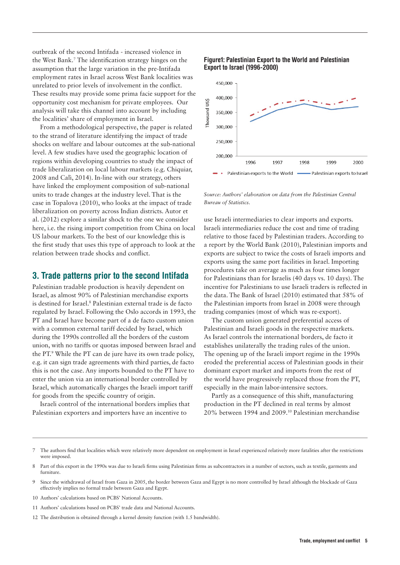outbreak of the second Intifada - increased violence in the West Bank.7 The identification strategy hinges on the assumption that the large variation in the pre-Intifada employment rates in Israel across West Bank localities was unrelated to prior levels of involvement in the conflict. These results may provide some prima facie support for the opportunity cost mechanism for private employees. Our analysis will take this channel into account by including the localities' share of employment in Israel.

From a methodological perspective, the paper is related to the strand of literature identifying the impact of trade shocks on welfare and labour outcomes at the sub-national level. A few studies have used the geographic location of regions within developing countries to study the impact of trade liberalization on local labour markets (e.g. Chiquiar, 2008 and Calì, 2014). In-line with our strategy, others have linked the employment composition of sub-national units to trade changes at the industry level. That is the case in Topalova (2010), who looks at the impact of trade liberalization on poverty across Indian districts. Autor et al. (2012) explore a similar shock to the one we consider here, i.e. the rising import competition from China on local US labour markets. To the best of our knowledge this is the first study that uses this type of approach to look at the relation between trade shocks and conflict.

### 3. Trade patterns prior to the second Intifada

Palestinian tradable production is heavily dependent on Israel, as almost 90% of Palestinian merchandise exports is destined for Israel.<sup>8</sup> Palestinian external trade is de facto regulated by Israel. Following the Oslo accords in 1993, the PT and Israel have become part of a de facto custom union with a common external tariff decided by Israel, which during the 1990s controlled all the borders of the custom union, with no tariffs or quotas imposed between Israel and the PT.9 While the PT can de jure have its own trade policy, e.g. it can sign trade agreements with third parties, de facto this is not the case. Any imports bounded to the PT have to enter the union via an international border controlled by Israel, which automatically charges the Israeli import tariff for goods from the specific country of origin.

Israeli control of the international borders implies that Palestinian exporters and importers have an incentive to





*Source: Authors' elaboration on data from the Palestinian Central Bureau of Statistics.*

use Israeli intermediaries to clear imports and exports. Israeli intermediaries reduce the cost and time of trading relative to those faced by Palestinian traders. According to a report by the World Bank (2010), Palestinian imports and exports are subject to twice the costs of Israeli imports and exports using the same port facilities in Israel. Importing procedures take on average as much as four times longer for Palestinians than for Israelis (40 days vs. 10 days). The incentive for Palestinians to use Israeli traders is reflected in the data. The Bank of Israel (2010) estimated that 58% of the Palestinian imports from Israel in 2008 were through trading companies (most of which was re-export).

The custom union generated preferential access of Palestinian and Israeli goods in the respective markets. As Israel controls the international borders, de facto it establishes unilaterally the trading rules of the union. The opening up of the Israeli import regime in the 1990s eroded the preferential access of Palestinian goods in their dominant export market and imports from the rest of the world have progressively replaced those from the PT, especially in the main labor-intensive sectors.

Partly as a consequence of this shift, manufacturing production in the PT declined in real terms by almost 20% between 1994 and 2009.10 Palestinian merchandise

12 The distribution is obtained through a kernel density function (with 1.5 bandwidth).

The authors find that localities which were relatively more dependent on employment in Israel experienced relatively more fatalities after the restrictions were imposed.

<sup>8</sup> Part of this export in the 1990s was due to Israeli firms using Palestinian firms as subcontractors in a number of sectors, such as textile, garments and furniture.

<sup>9</sup> Since the withdrawal of Israel from Gaza in 2005, the border between Gaza and Egypt is no more controlled by Israel although the blockade of Gaza effectively implies no formal trade between Gaza and Egypt.

<sup>10</sup> Authors' calculations based on PCBS' National Accounts.

<sup>11</sup> Authors' calculations based on PCBS' trade data and National Accounts.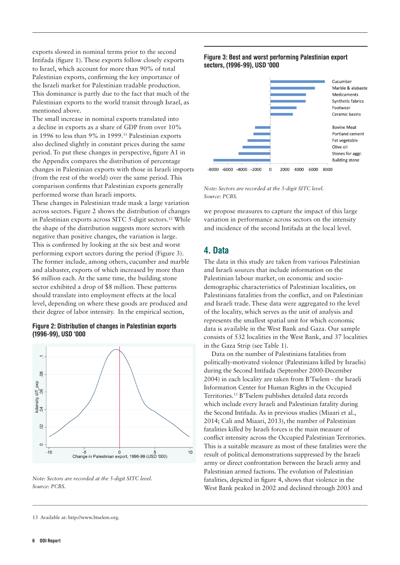exports slowed in nominal terms prior to the second Intifada (figure 1). These exports follow closely exports to Israel, which account for more than 90% of total Palestinian exports, confirming the key importance of the Israeli market for Palestinian tradable production. This dominance is partly due to the fact that much of the Palestinian exports to the world transit through Israel, as mentioned above.

The small increase in nominal exports translated into a decline in exports as a share of GDP from over 10% in 1996 to less than 9% in 1999.11 Palestinian exports also declined slightly in constant prices during the same period. To put these changes in perspective, figure A1 in the Appendix compares the distribution of percentage changes in Palestinian exports with those in Israeli imports (from the rest of the world) over the same period. This comparison confirms that Palestinian exports generally performed worse than Israeli imports.

These changes in Palestinian trade mask a large variation across sectors. Figure 2 shows the distribution of changes in Palestinian exports across SITC 5-digit sectors.12 While the shape of the distribution suggests more sectors with negative than positive changes, the variation is large. This is confirmed by looking at the six best and worst performing export sectors during the period (Figure 3). The former include, among others, cucumber and marble and alabaster, exports of which increased by more than \$6 million each. At the same time, the building stone sector exhibited a drop of \$8 million. These patterns should translate into employment effects at the local level, depending on where these goods are produced and their degree of labor intensity. In the empirical section,

#### Figure 2: Distribution of changes in Palestinian exports (1996-99), USD '000



*Note: Sectors are recorded at the 5-digit SITC level. Source: PCBS.* 

#### Figure 3: Best and worst performing Palestinian export sectors, (1996-99), USD '000



*Note: Sectors are recorded at the 5-digit SITC level. Source: PCBS.*

we propose measures to capture the impact of this large variation in performance across sectors on the intensity and incidence of the second Intifada at the local level.

# 4. Data

The data in this study are taken from various Palestinian and Israeli sources that include information on the Palestinian labour market, on economic and sociodemographic characteristics of Palestinian localities, on Palestinians fatalities from the conflict, and on Palestinian and Israeli trade. These data were aggregated to the level of the locality, which serves as the unit of analysis and represents the smallest spatial unit for which economic data is available in the West Bank and Gaza. Our sample consists of 532 localities in the West Bank, and 37 localities in the Gaza Strip (see Table 1).

Data on the number of Palestinians fatalities from politically-motivated violence (Palestinians killed by Israelis) during the Second Intifada (September 2000-December 2004) in each locality are taken from B'Tselem - the Israeli Information Center for Human Rights in the Occupied Territories.13 B'Tselem publishes detailed data records which include every Israeli and Palestinian fatality during the Second Intifada. As in previous studies (Miaari et al., 2014; Cali and Miaari, 2013), the number of Palestinian fatalities killed by Israeli forces is the main measure of conflict intensity across the Occupied Palestinian Territories. This is a suitable measure as most of these fatalities were the result of political demonstrations suppressed by the Israeli army or direct confrontation between the Israeli army and Palestinian armed factions. The evolution of Palestinian fatalities, depicted in figure 4, shows that violence in the West Bank peaked in 2002 and declined through 2003 and

<sup>13</sup> Available at: [http://www.btselem.org.](http://www.btselem.org)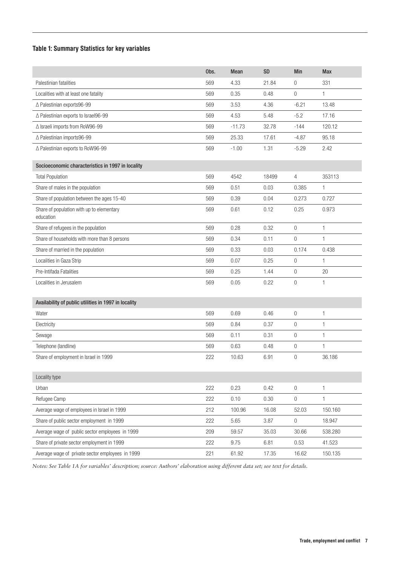# Table 1: Summary Statistics for key variables

|                                                        | Obs. | <b>Mean</b> | <b>SD</b> | Min            | <b>Max</b> |
|--------------------------------------------------------|------|-------------|-----------|----------------|------------|
| Palestinian fatalities                                 | 569  | 4.33        | 21.84     | 0              | 331        |
| Localities with at least one fatality                  | 569  | 0.35        | 0.48      | $\overline{0}$ | 1          |
| △ Palestinian exports96-99                             | 569  | 3.53        | 4.36      | $-6.21$        | 13.48      |
| △ Palestinian exports to Israel96-99                   | 569  | 4.53        | 5.48      | $-5.2$         | 17.16      |
| △ Israeli imports from RoW96-99                        | 569  | $-11.73$    | 32.78     | $-144$         | 120.12     |
| △ Palestinian imports96-99                             | 569  | 25.33       | 17.61     | $-4.87$        | 95.18      |
| △ Palestinian exports to RoW96-99                      | 569  | $-1.00$     | 1.31      | $-5.29$        | 2.42       |
| Socioeconomic characteristics in 1997 in locality      |      |             |           |                |            |
| <b>Total Population</b>                                | 569  | 4542        | 18499     | 4              | 353113     |
| Share of males in the population                       | 569  | 0.51        | 0.03      | 0.385          | 1.         |
| Share of population between the ages 15-40             | 569  | 0.39        | 0.04      | 0.273          | 0.727      |
| Share of population with up to elementary<br>education | 569  | 0.61        | 0.12      | 0.25           | 0.973      |
| Share of refugees in the population                    | 569  | 0.28        | 0.32      | $\mathbf 0$    | 1          |
| Share of households with more than 8 persons           | 569  | 0.34        | 0.11      | $\mathbf 0$    | 1          |
| Share of married in the population                     | 569  | 0.33        | 0.03      | 0.174          | 0.438      |
| Localities in Gaza Strip                               | 569  | 0.07        | 0.25      | $\mathbf 0$    | 1          |
| Pre-Intifada Fatalities                                | 569  | 0.25        | 1.44      | 0              | 20         |
| Localities in Jerusalem                                | 569  | 0.05        | 0.22      | $\mathbf 0$    | 1          |
|                                                        |      |             |           |                |            |
| Availability of public utilities in 1997 in locality   |      |             |           |                |            |
| Water                                                  | 569  | 0.69        | 0.46      | $\overline{0}$ | 1          |
| Electricity                                            | 569  | 0.84        | 0.37      | $\mathbf 0$    | 1          |
| Sewage                                                 | 569  | 0.11        | 0.31      | $\mathbf 0$    | 1          |
| Telephone (landline)                                   | 569  | 0.63        | 0.48      | $\mathbf 0$    | 1          |
| Share of employment in Israel in 1999                  | 222  | 10.63       | 6.91      | $\overline{0}$ | 36.186     |
| Locality type                                          |      |             |           |                |            |
| Urban                                                  | 222  | 0.23        | 0.42      | 0              | 1          |
| Refugee Camp                                           | 222  | 0.10        | 0.30      | 0              | 1          |
| Average wage of employees in Israel in 1999            | 212  | 100.96      | 16.08     | 52.03          | 150.160    |
| Share of public sector employment in 1999              | 222  | 5.65        | 3.87      | 0              | 18.947     |
| Average wage of public sector employees in 1999        | 209  | 59.57       | 35.03     | 30.66          | 538.280    |
| Share of private sector employment in 1999             | 222  | 9.75        | 6.81      | 0.53           | 41.523     |
| Average wage of private sector employees in 1999       | 221  | 61.92       | 17.35     | 16.62          | 150.135    |

*Notes: See Table 1A for variables' description; source: Authors' elaboration using different data set; see text for details.*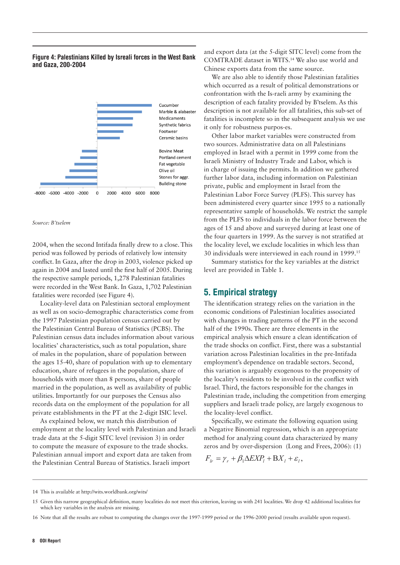#### Figure 4: Palestinians Killed by Isreali forces in the West Bank and Gaza, 200-2004



#### *Source: B'tselem*

2004, when the second Intifada finally drew to a close. This period was followed by periods of relatively low intensity conflict. In Gaza, after the drop in 2003, violence picked up again in 2004 and lasted until the first half of 2005. During the respective sample periods, 1,278 Palestinian fatalities were recorded in the West Bank. In Gaza, 1,702 Palestinian fatalities were recorded (see Figure 4).

Locality-level data on Palestinian sectoral employment as well as on socio-demographic characteristics come from the 1997 Palestinian population census carried out by the Palestinian Central Bureau of Statistics (PCBS). The Palestinian census data includes information about various localities' characteristics, such as total population, share of males in the population, share of population between the ages 15-40, share of population with up to elementary education, share of refugees in the population, share of households with more than 8 persons, share of people married in the population, as well as availability of public utilities. Importantly for our purposes the Census also records data on the employment of the population for all private establishments in the PT at the 2-digit ISIC level.

As explained below, we match this distribution of employment at the locality level with Palestinian and Israeli trade data at the 5-digit SITC level (revision 3) in order to compute the measure of exposure to the trade shocks. Palestinian annual import and export data are taken from the Palestinian Central Bureau of Statistics. Israeli import

and export data (at the 5-digit SITC level) come from the COMTRADE dataset in WITS.14 We also use world and Chinese exports data from the same source.

We are also able to identify those Palestinian fatalities which occurred as a result of political demonstrations or confrontation with the Is-raeli army by examining the description of each fatality provided by B'tselem. As this description is not available for all fatalities, this sub-set of fatalities is incomplete so in the subsequent analysis we use it only for robustness purpos-es.

Other labor market variables were constructed from two sources. Administrative data on all Palestinians employed in Israel with a permit in 1999 come from the Israeli Ministry of Industry Trade and Labor, which is in charge of issuing the permits. In addition we gathered further labor data, including information on Palestinian private, public and employment in Israel from the Palestinian Labor Force Survey (PLFS). This survey has been administered every quarter since 1995 to a nationally representative sample of households. We restrict the sample from the PLFS to individuals in the labor force between the ages of 15 and above and surveyed during at least one of the four quarters in 1999. As the survey is not stratified at the locality level, we exclude localities in which less than 30 individuals were interviewed in each round in 1999.15

Summary statistics for the key variables at the district level are provided in Table 1.

# 5. Empirical strategy

The identification strategy relies on the variation in the economic conditions of Palestinian localities associated with changes in trading patterns of the PT in the second half of the 1990s. There are three elements in the empirical analysis which ensure a clean identification of the trade shocks on conflict. First, there was a substantial variation across Palestinian localities in the pre-Intifada employment's dependence on tradable sectors. Second, this variation is arguably exogenous to the propensity of the locality's residents to be involved in the conflict with Israel. Third, the factors responsible for the changes in Palestinian trade, including the competition from emerging suppliers and Israeli trade policy, are largely exogenous to the locality-level conflict.

Specifically, we estimate the following equation using a Negative Binomial regression, which is an appropriate method for analyzing count data characterized by many zeros and by over-dispersion (Long and Frees, 2006): (1)

$$
F_{lr} = \gamma_r + \beta_1 \Delta EXP_l + \mathbf{B} X_l + \varepsilon_l,
$$

14 This is available at<http://wits.worldbank.org/wits/>

<sup>15</sup> Given this narrow geographical definition, many localities do not meet this criterion, leaving us with 241 localities. We drop 42 additional localities for which key variables in the analysis are missing.

<sup>16</sup> Note that all the results are robust to computing the changes over the 1997-1999 period or the 1996-2000 period (results available upon request).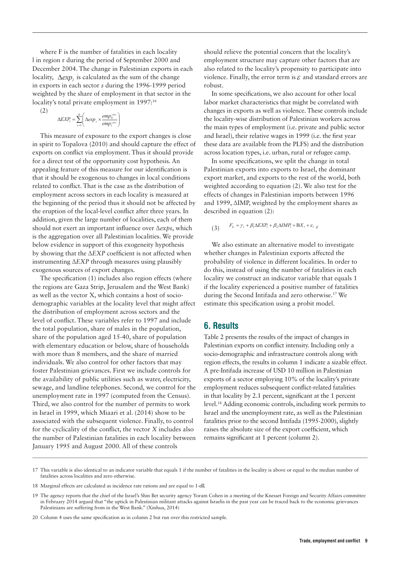where F is the number of fatalities in each locality l in region r during the period of September 2000 and December 2004. The change in Palestinian exports in each locality,  $\Delta exp_i$  is calculated as the sum of the change in exports in each sector *s* during the 1996-1999 period weighted by the share of employment in that sector in the locality's total private employment in 1997:<sup>16</sup>

$$
\Delta EXP_t = \sum_{s=1}^N \left( \Delta exp_s \times \frac{emp_{ls}^{1997}}{emp_i^{1997}} \right)
$$

(2)

This measure of exposure to the export changes is close in spirit to Topalova (2010) and should capture the effect of exports on conflict via employment. Thus it should provide for a direct test of the opportunity cost hypothesis. An appealing feature of this measure for our identification is that it should be exogenous to changes in local conditions related to conflict. That is the case as the distribution of employment across sectors in each locality is measured at the beginning of the period thus it should not be affected by the eruption of the local-level conflict after three years. In addition, given the large number of localities, each of them should not exert an important influence over ∆*exps*, which is the aggregation over all Palestinian localities. We provide below evidence in support of this exogeneity hypothesis by showing that the ∆*EXP* coefficient is not affected when instrumenting ∆*EXP* through measures using plausibly exogenous sources of export changes.

The specification (1) includes also region effects (where the regions are Gaza Strip, Jerusalem and the West Bank) as well as the vector X, which contains a host of sociodemographic variables at the locality level that might affect the distribution of employment across sectors and the level of conflict. These variables refer to 1997 and include the total population, share of males in the population, share of the population aged 15-40, share of population with elementary education or below, share of households with more than 8 members, and the share of married individuals. We also control for other factors that may foster Palestinian grievances. First we include controls for the availability of public utilities such as water, electricity, sewage, and landline telephones. Second, we control for the unemployment rate in 1997 (computed from the Census). Third, we also control for the number of permits to work in Israel in 1999, which Miaari et al. (2014) show to be associated with the subsequent violence. Finally, to control for the cyclicality of the conflict, the vector *X* includes also the number of Palestinian fatalities in each locality between January 1995 and August 2000. All of these controls

should relieve the potential concern that the locality's employment structure may capture other factors that are also related to the locality's propensity to participate into violence. Finally, the error term is  $\varepsilon$  and standard errors are robust.

In some specifications, we also account for other local labor market characteristics that might be correlated with changes in exports as well as violence. These controls include the locality-wise distribution of Palestinian workers across the main types of employment (i.e. private and public sector and Israel), their relative wages in 1999 (i.e. the first year these data are available from the PLFS) and the distribution across location types, i.e. urban, rural or refugee camp.

In some specifications, we split the change in total Palestinian exports into exports to Israel, the dominant export market, and exports to the rest of the world, both weighted according to equation (2). We also test for the effects of changes in Palestinian imports between 1996 and 1999, ∆IMP, weighted by the employment shares as described in equation (2):

$$
(3) \qquad F_{lr} = \gamma_r + \beta_1 \Delta EXP_l + \beta_2 \Delta IMP_l + \mathbf{B}X_l + \varepsilon_l \varepsilon
$$

We also estimate an alternative model to investigate whether changes in Palestinian exports affected the probability of violence in different localities. In order to do this, instead of using the number of fatalities in each locality we construct an indicator variable that equals 1 if the locality experienced a positive number of fatalities during the Second Intifada and zero otherwise.17 We estimate this specification using a probit model.

# 6. Results

Table 2 presents the results of the impact of changes in Palestinian exports on conflict intensity. Including only a socio-demographic and infrastructure controls along with region effects, the results in column 1 indicate a sizable effect. A pre-Intifada increase of USD 10 million in Palestinian exports of a sector employing 10% of the locality's private employment reduces subsequent conflict-related fatalities in that locality by 2.1 percent, significant at the 1 percent level.18 Adding economic controls, including work permits to Israel and the unemployment rate, as well as the Palestinian fatalities prior to the second Intifada (1995-2000), slightly raises the absolute size of the export coefficient, which remains significant at 1 percent (column 2).

<sup>17</sup> This variable is also identical to an indicator variable that equals 1 if the number of fatalities in the locality is above or equal to the median number of fatalities across localities and zero otherwise.

<sup>18</sup> Marginal effects are calculated as incidence rate rations and are equal to 1-e .

<sup>19</sup> The agency reports that the chief of the Israel's Shin Bet security agency Yoram Cohen in a meeting of the Knesset Foreign and Security Affairs committee in February 2014 argued that "the uptick in Palestinian militant attacks against Israelis in the past year can be traced back to the economic grievances Palestinians are suffering from in the West Bank." (Xinhua, 2014)

<sup>20</sup> Column 4 uses the same specification as in column 2 but run over this restricted sample.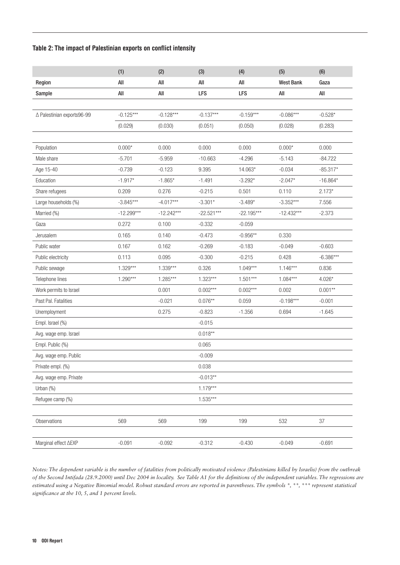### Table 2: The impact of Palestinian exports on conflict intensity

|                            | (1)          | (2)          | (3)          | (4)          | (5)              | (6)         |
|----------------------------|--------------|--------------|--------------|--------------|------------------|-------------|
| Region                     | All          | All          | All          | All          | <b>West Bank</b> | Gaza        |
| Sample                     | All          | All          | LFS          | LFS          | All              | All         |
|                            |              |              |              |              |                  |             |
| △ Palestinian exports96-99 | $-0.125***$  | $-0.128***$  | $-0.137***$  | $-0.159***$  | $-0.086***$      | $-0.528*$   |
|                            | (0.029)      | (0.030)      | (0.051)      | (0.050)      | (0.028)          | (0.283)     |
|                            |              |              |              |              |                  |             |
| Population                 | $0.000*$     | 0.000        | 0.000        | 0.000        | $0.000*$         | 0.000       |
| Male share                 | $-5.701$     | $-5.959$     | $-10.663$    | $-4.296$     | $-5.143$         | $-84.722$   |
| Age 15-40                  | $-0.739$     | $-0.123$     | 9.395        | 14.063*      | $-0.034$         | $-85.317*$  |
| Education                  | $-1.917*$    | $-1.865*$    | $-1.491$     | $-3.292*$    | $-2.047*$        | $-16.864*$  |
| Share refugees             | 0.209        | 0.276        | $-0.215$     | 0.501        | 0.110            | $2.173*$    |
| Large households (%)       | $-3.845***$  | $-4.017***$  | $-3.301*$    | $-3.489*$    | $-3.352***$      | 7.556       |
| Married (%)                | $-12.299***$ | $-12.242***$ | $-22.521***$ | $-22.195***$ | $-12.432***$     | $-2.373$    |
| Gaza                       | 0.272        | 0.100        | $-0.332$     | $-0.059$     |                  |             |
| Jerusalem                  | 0.165        | 0.140        | $-0.473$     | $-0.956**$   | 0.330            |             |
| Public water               | 0.167        | 0.162        | $-0.269$     | $-0.183$     | $-0.049$         | $-0.603$    |
| Public electricity         | 0.113        | 0.095        | $-0.300$     | $-0.215$     | 0.428            | $-6.386***$ |
| Public sewage              | $1.329***$   | $1.339***$   | 0.326        | $1.049***$   | $1.146***$       | 0.836       |
| Telephone lines            | $1.290***$   | $1.285***$   | $1.323***$   | $1.501***$   | $1.084***$       | $4.026*$    |
| Work permits to Israel     |              | 0.001        | $0.002***$   | $0.002***$   | 0.002            | $0.001**$   |
| Past Pal. Fatalities       |              | $-0.021$     | $0.076**$    | 0.059        | $-0.198***$      | $-0.001$    |
| Unemployment               |              | 0.275        | $-0.823$     | $-1.356$     | 0.694            | $-1.645$    |
| Empl. Israel (%)           |              |              | $-0.015$     |              |                  |             |
| Avg. wage emp. Israel      |              |              | $0.018**$    |              |                  |             |
| Empl. Public (%)           |              |              | 0.065        |              |                  |             |
| Avg. wage emp. Public      |              |              | $-0.009$     |              |                  |             |
| Private empl. (%)          |              |              | 0.038        |              |                  |             |
| Avg. wage emp. Private     |              |              | $-0.013**$   |              |                  |             |
| Urban $(%)$                |              |              | $1.179***$   |              |                  |             |
| Refugee camp (%)           |              |              | $1.535***$   |              |                  |             |
|                            |              |              |              |              |                  |             |
| Observations               | 569          | 569          | 199          | 199          | 532              | $37\,$      |
|                            |              |              |              |              |                  |             |
| Marginal effect ∆EXP       | $-0.091$     | $-0.092$     | $-0.312$     | $-0.430$     | $-0.049$         | $-0.691$    |

*Notes: The dependent variable is the number of fatalities from politically motivated violence (Palestinians killed by Israelis) from the outbreak of the Second Intifada (28.9.2000) until Dec 2004 in locality. See Table A1 for the definitions of the independent variables. The regressions are estimated using a Negative Binomial model. Robust standard errors are reported in parentheses. The symbols \*, \*\*, \*\*\* represent statistical significance at the 10, 5, and 1 percent levels.*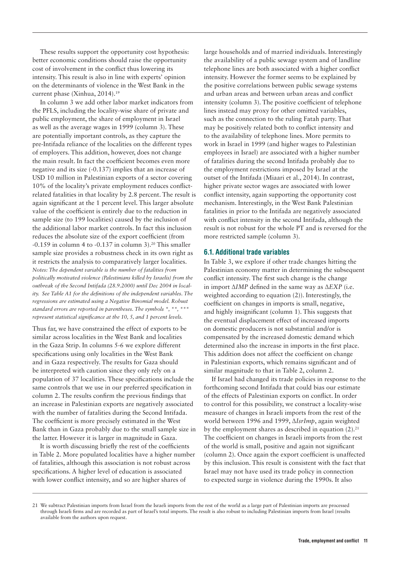These results support the opportunity cost hypothesis: better economic conditions should raise the opportunity cost of involvement in the conflict thus lowering its intensity. This result is also in line with experts' opinion on the determinants of violence in the West Bank in the current phase (Xinhua, 2014).<sup>19</sup>

In column 3 we add other labor market indicators from the PFLS, including the locality-wise share of private and public employment, the share of employment in Israel as well as the average wages in 1999 (column 3). These are potentially important controls, as they capture the pre-Intifada reliance of the localities on the different types of employers. This addition, however, does not change the main result. In fact the coefficient becomes even more negative and its size (-0.137) implies that an increase of USD 10 million in Palestinian exports of a sector covering 10% of the locality's private employment reduces conflictrelated fatalities in that locality by 2.8 percent. The result is again significant at the 1 percent level. This larger absolute value of the coefficient is entirely due to the reduction in sample size (to 199 localities) caused by the inclusion of the additional labor market controls. In fact this inclusion reduces the absolute size of the export coefficient (from  $-0.159$  in column 4 to  $-0.137$  in column 3).<sup>20</sup> This smaller sample size provides a robustness check in its own right as it restricts the analysis to comparatively larger localities. *Notes: The dependent variable is the number of fatalities from politically motivated violence (Palestinians killed by Israelis) from the outbreak of the Second Intifada (28.9.2000) until Dec 2004 in locality. See Table A1 for the definitions of the independent variables. The regressions are estimated using a Negative Binomial model. Robust standard errors are reported in parentheses. The symbols \*, \*\*, \* represent statistical significance at the 10, 5, and 1 percent levels.*

Thus far, we have constrained the effect of exports to be similar across localities in the West Bank and localities in the Gaza Strip. In columns 5-6 we explore different specifications using only localities in the West Bank and in Gaza respectively. The results for Gaza should be interpreted with caution since they only rely on a population of 37 localities. These specifications include the same controls that we use in our preferred specification in column 2. The results confirm the previous findings that an increase in Palestinian exports are negatively associated with the number of fatalities during the Second Intifada. The coefficient is more precisely estimated in the West Bank than in Gaza probably due to the small sample size in the latter. However it is larger in magnitude in Gaza.

It is worth discussing briefly the rest of the coefficients in Table 2. More populated localities have a higher number of fatalities, although this association is not robust across specifications. A higher level of education is associated with lower conflict intensity, and so are higher shares of

large households and of married individuals. Interestingly the availability of a public sewage system and of landline telephone lines are both associated with a higher conflict intensity. However the former seems to be explained by the positive correlations between public sewage systems and urban areas and between urban areas and conflict intensity (column 3). The positive coefficient of telephone lines instead may proxy for other omitted variables, such as the connection to the ruling Fatah party. That may be positively related both to conflict intensity and to the availability of telephone lines. More permits to work in Israel in 1999 (and higher wages to Palestinian employees in Israel) are associated with a higher number of fatalities during the second Intifada probably due to the employment restrictions imposed by Israel at the outset of the Intifada (Miaari et al., 2014). In contrast, higher private sector wages are associated with lower conflict intensity, again supporting the opportunity cost mechanism. Interestingly, in the West Bank Palestinian fatalities in prior to the Intifada are negatively associated with conflict intensity in the second Intifada, although the result is not robust for the whole PT and is reversed for the more restricted sample (column 3).

#### 6.1. Additional trade variables

In Table 3, we explore if other trade changes hitting the Palestinian economy matter in determining the subsequent conflict intensity. The first such change is the change in import ∆*IMP* defined in the same way as ∆*EXP* (i.e. weighted according to equation (2)). Interestingly, the coefficient on changes in imports is small, negative, and highly insignificant (column 1). This suggests that the eventual displacement effect of increased imports on domestic producers is not substantial and/or is compensated by the increased domestic demand which determined also the increase in imports in the first place. This addition does not affect the coefficient on change in Palestinian exports, which remains significant and of similar magnitude to that in Table 2, column 2.

If Israel had changed its trade policies in response to the forthcoming second Intifada that could bias our estimate of the effects of Palestinian exports on conflict. In order to control for this possibility, we construct a locality-wise measure of changes in Israeli imports from the rest of the world between 1996 and 1999, ∆*IsrImp*, again weighted by the employment shares as described in equation  $(2)$ .<sup>21</sup> The coefficient on changes in Israeli imports from the rest of the world is small, positive and again not significant (column 2). Once again the export coefficient is unaffected by this inclusion. This result is consistent with the fact that Israel may not have used its trade policy in connection to expected surge in violence during the 1990s. It also

<sup>21</sup> We subtract Palestinian imports from Israel from the Israeli imports from the rest of the world as a large part of Palestinian imports are processed through Israeli firms and are recorded as part of Israel's total imports. The result is also robust to including Palestinian imports from Israel (results available from the authors upon request.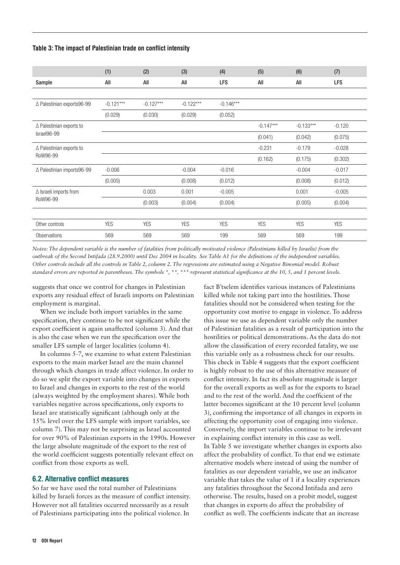Table 3: The impact of Palestinian trade on conflict intensity

|                                    | (1)         | (2)         | (3)         | (4)         | (5)         | (6)         | (7)        |
|------------------------------------|-------------|-------------|-------------|-------------|-------------|-------------|------------|
| Sample                             | All         | All         | All         | <b>LFS</b>  | All         | All         | <b>LFS</b> |
|                                    |             |             |             |             |             |             |            |
| ∆ Palestinian exports96-99         | $-0.121***$ | $-0.127***$ | $-0.122***$ | $-0.146***$ |             |             |            |
|                                    | (0.029)     | (0.030)     | (0.029)     | (0.052)     |             |             |            |
| $\triangle$ Palestinian exports to |             |             |             |             | $-0.147***$ | $-0.133***$ | $-0.120$   |
| Israel96-99                        |             |             |             |             | (0.041)     | (0.042)     | (0.075)    |
| $\triangle$ Palestinian exports to |             |             |             |             | $-0.231$    | $-0.179$    | $-0.028$   |
| RoW96-99                           |             |             |             |             | (0.162)     | (0.175)     | (0.302)    |
| △ Palestinian imports96-99         | $-0.006$    |             | $-0.004$    | $-0.016$    |             | $-0.004$    | $-0.017$   |
|                                    | (0.005)     |             | (0.008)     | (0.012)     |             | (0.008)     | (0.012)    |
| $\Delta$ Israeli imports from      |             | 0.003       | 0.001       | $-0.005$    |             | 0.001       | $-0.005$   |
| RoW96-99                           |             | (0.003)     | (0.004)     | (0.004)     |             | (0.005)     | (0.004)    |
|                                    |             |             |             |             |             |             |            |
| Other controls                     | <b>YES</b>  | <b>YES</b>  | <b>YES</b>  | <b>YES</b>  | <b>YES</b>  | <b>YES</b>  | <b>YES</b> |
| <b>Observations</b>                | 569         | 569         | 569         | 199         | 569         | 569         | 199        |

*Notes: The dependent variable is the number of fatalities from politically motivated violence (Palestinians killed by Israelis) from the outbreak of the Second Intifada (28.9.2000) until Dec 2004 in locality. See Table A1 for the definitions of the independent variables. Other controls include all the controls in Table 2, column 2. The regressions are estimated using a Negative Binomial model. Robust standard errors are reported in parentheses. The symbols \*, \*\*, \*\*\* represent statistical significance at the 10, 5, and 1 percent levels.*

suggests that once we control for changes in Palestinian exports any residual effect of Israeli imports on Palestinian employment is marginal.

When we include both import variables in the same specification, they continue to be not significant while the export coefficient is again unaffected (column 3). And that is also the case when we run the specification over the smaller LFS sample of larger localities (column 4).

In columns 5-7, we examine to what extent Palestinian exports to the main market Israel are the main channel through which changes in trade affect violence. In order to do so we split the export variable into changes in exports to Israel and changes in exports to the rest of the world (always weighted by the employment shares). While both variables negative across specifications, only exports to Israel are statistically significant (although only at the 15% level over the LFS sample with import variables, see column 7). This may not be surprising as Israel accounted for over 90% of Palestinian exports in the 1990s. However the large absolute magnitude of the export to the rest of the world coefficient suggests potentially relevant effect on conflict from those exports as well.

#### 6.2. Alternative conflict measures

So far we have used the total number of Palestinians killed by Israeli forces as the measure of conflict intensity. However not all fatalities occurred necessarily as a result of Palestinians participating into the political violence. In

12 ODI Report

fact B'tselem identifies various instances of Palestinians killed while not taking part into the hostilities. Those fatalities should not be considered when testing for the opportunity cost motive to engage in violence. To address this issue we use as dependent variable only the number of Palestinian fatalities as a result of participation into the hostilities or political demonstrations. As the data do not allow the classification of every recorded fatality, we use this variable only as a robustness check for our results. This check in Table 4 suggests that the export coefficient is highly robust to the use of this alternative measure of conflict intensity. In fact its absolute magnitude is larger for the overall exports as well as for the exports to Israel and to the rest of the world. And the coefficient of the latter becomes significant at the 10 percent level (column 3), confirming the importance of all changes in exports in affecting the opportunity cost of engaging into violence. Conversely, the import variables continue to be irrelevant in explaining conflict intensity in this case as well. In Table 5 we investigate whether changes in exports also affect the probability of conflict. To that end we estimate alternative models where instead of using the number of fatalities as our dependent variable, we use an indicator variable that takes the value of 1 if a locality experiences any fatalities throughout the Second Intifada and zero otherwise. The results, based on a probit model, suggest that changes in exports do affect the probability of conflict as well. The coefficients indicate that an increase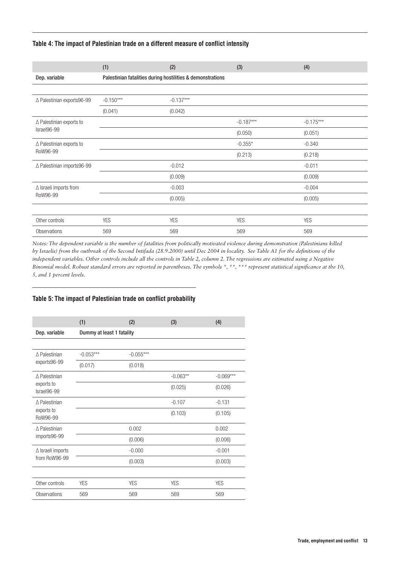#### Table 4: The impact of Palestinian trade on a different measure of conflict intensity

|                                      | (1)                                                        | (2)         | (3)         | (4)         |  |  |
|--------------------------------------|------------------------------------------------------------|-------------|-------------|-------------|--|--|
| Dep. variable                        | Palestinian fatalities during hostilities & demonstrations |             |             |             |  |  |
|                                      |                                                            |             |             |             |  |  |
| △ Palestinian exports96-99           | $-0.150***$                                                | $-0.137***$ |             |             |  |  |
|                                      | (0.041)                                                    | (0.042)     |             |             |  |  |
| $\triangle$ Palestinian exports to   |                                                            |             | $-0.187***$ | $-0.175***$ |  |  |
| Israel96-99                          |                                                            |             | (0.050)     | (0.051)     |  |  |
| ∆ Palestinian exports to<br>RoW96-99 |                                                            |             | $-0.355*$   | $-0.340$    |  |  |
|                                      |                                                            |             | (0.213)     | (0.218)     |  |  |
| △ Palestinian imports96-99           |                                                            | $-0.012$    |             | $-0.011$    |  |  |
|                                      |                                                            | (0.009)     |             | (0.009)     |  |  |
| $\Delta$ Israeli imports from        |                                                            | $-0.003$    |             | $-0.004$    |  |  |
| RoW96-99                             |                                                            | (0.005)     |             | (0.005)     |  |  |
|                                      |                                                            |             |             |             |  |  |
| Other controls                       | <b>YES</b>                                                 | <b>YES</b>  | <b>YES</b>  | <b>YES</b>  |  |  |
| Observations                         | 569                                                        | 569         | 569         | 569         |  |  |

*Notes: The dependent variable is the number of fatalities from politically motivated violence during demonstration (Palestinians killed by Israelis) from the outbreak of the Second Intifada (28.9.2000) until Dec 2004 in locality. See Table A1 for the definitions of the independent variables. Other controls include all the controls in Table 2, column 2. The regressions are estimated using a Negative Binomial model. Robust standard errors are reported in parentheses. The symbols \*, \*\*, \*\*\* represent statistical significance at the 10, 5, and 1 percent levels.*

#### Table 5: The impact of Palestinian trade on conflict probability

|                                           | (1)                       | (2)         | (3)        | (4)         |  |  |
|-------------------------------------------|---------------------------|-------------|------------|-------------|--|--|
| Dep. variable                             | Dummy at least 1 fatality |             |            |             |  |  |
|                                           |                           |             |            |             |  |  |
| ∆ Palestinian                             | $-0.053***$               | $-0.055***$ |            |             |  |  |
| exports96-99                              | (0.017)                   | (0.018)     |            |             |  |  |
| ∆ Palestinian                             |                           |             | $-0.063**$ | $-0.069***$ |  |  |
| exports to<br>Israel96-99                 |                           |             | (0.025)    | (0.026)     |  |  |
| ∆ Palestinian<br>exports to<br>RoW96-99   |                           |             | $-0.107$   | $-0.131$    |  |  |
|                                           |                           |             | (0.103)    | (0.105)     |  |  |
| ∆ Palestinian                             |                           | 0.002       |            | 0.002       |  |  |
| imports96-99                              |                           | (0.006)     |            | (0.006)     |  |  |
| $\Delta$ Israeli imports<br>from RoW96-99 |                           | $-0.000$    |            | $-0.001$    |  |  |
|                                           |                           | (0.003)     |            | (0.003)     |  |  |
|                                           |                           |             |            |             |  |  |
| Other controls                            | <b>YES</b>                | <b>YES</b>  | <b>YES</b> | <b>YES</b>  |  |  |
| Observations                              | 569                       | 569         | 569        | 569         |  |  |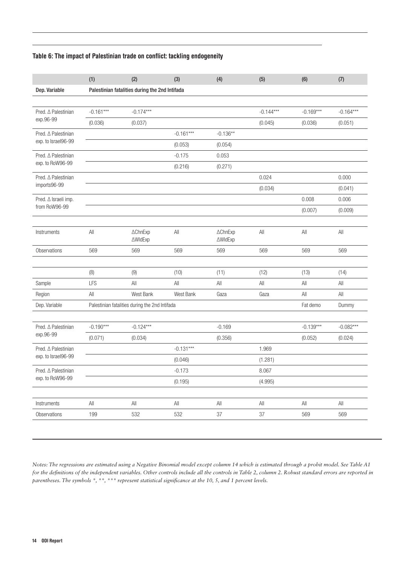#### Table 6: The impact of Palestinian trade on conflict: tackling endogeneity

| $-0.169***$<br>(0.036) | $-0.164***$    |
|------------------------|----------------|
|                        |                |
|                        |                |
|                        |                |
|                        | (0.051)        |
|                        |                |
|                        |                |
|                        |                |
|                        |                |
|                        | 0.000          |
|                        | (0.041)        |
| 0.008                  | 0.006          |
| (0.007)                | (0.009)        |
|                        |                |
| $\mathsf{All}$         | $\mathsf{All}$ |
| 569                    | 569            |
|                        |                |
| (13)                   | (14)           |
| All                    | All            |
| All                    | All            |
| Fat demo               | Dummy          |
|                        |                |
| $-0.139***$            | $-0.082***$    |
| (0.052)                | (0.024)        |
|                        |                |
|                        |                |
|                        |                |
|                        |                |
|                        |                |
| $\mathsf{All}$         | $\mathsf{All}$ |
| 569                    | 569            |
|                        |                |

*Notes: The regressions are estimated using a Negative Binomial model except column 14 which is estimated through a probit model. See Table A1*  for the definitions of the independent variables. Other controls include all the controls in Table 2, column 2. Robust standard errors are reported in *parentheses. The symbols \*, \*\*, \*\*\* represent statistical significance at the 10, 5, and 1 percent levels.*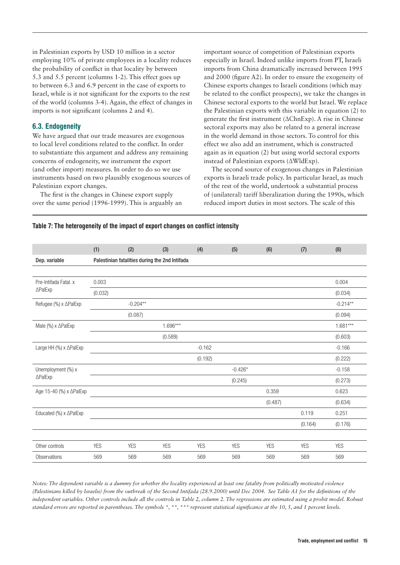in Palestinian exports by USD 10 million in a sector employing 10% of private employees in a locality reduces the probability of conflict in that locality by between 5.3 and 5.5 percent (columns 1-2). This effect goes up to between 6.3 and 6.9 percent in the case of exports to Israel, while is it not significant for the exports to the rest of the world (columns 3-4). Again, the effect of changes in imports is not significant (columns 2 and 4).

#### 6.3. Endogeneity

We have argued that our trade measures are exogenous to local level conditions related to the conflict. In order to substantiate this argument and address any remaining concerns of endogeneity, we instrument the export (and other import) measures. In order to do so we use instruments based on two plausibly exogenous sources of Palestinian export changes.

The first is the changes in Chinese export supply over the same period (1996-1999). This is arguably an

important source of competition of Palestinian exports especially in Israel. Indeed unlike imports from PT, Israeli imports from China dramatically increased between 1995 and 2000 (figure A2). In order to ensure the exogeneity of Chinese exports changes to Israeli conditions (which may be related to the conflict prospects), we take the changes in Chinese sectoral exports to the world but Israel. We replace the Palestinian exports with this variable in equation (2) to generate the first instrument (∆ChnExp). A rise in Chinese sectoral exports may also be related to a general increase in the world demand in those sectors. To control for this effect we also add an instrument, which is constructed again as in equation (2) but using world sectoral exports instead of Palestinian exports (∆WldExp).

The second source of exogenous changes in Palestinian exports is Israeli trade policy. In particular Israel, as much of the rest of the world, undertook a substantial process of (unilateral) tariff liberalization during the 1990s, which reduced import duties in most sectors. The scale of this

# (1) (2) (3) (4) (5) (6) (7) (8) Dep. variable Palestinian fatalities during the 2nd Intifada Pre-Intifada Fatal. x ∆PalExp  $0.003$  0.004 (0.032) (0.034) Refugee (%) x ∆PalExp -0.204\*\* -0.204\*\* -0.204\*\* -0.214\*\* (0.087) (0.094) Male (%) x ∆PalExp 1.681\*\*\* 1.696\*\*\* 1.696\*\*\* 1.696\*\*\* 1.681\*\*\* (0.589) (0.603) Large HH (%) x ∆PalExp -0.166 -0.166 -0.162 -0.162 -0.160 -0.160 -0.166 -0.166 -0.166 -0.166 -0.166 -0.166 -0.166 (0.192) (0.222) Unemployment (%) x ∆PalExp -0.426\* -0.158 (0.245) (0.273) Age 15-40 (%) x ∆PalExp 0.623 (0.487) (0.634) Educated (%) x ∆PalExp 0.119 0.251 (0.164) (0.176) Other controls YES YES YES YES YES YES YES YES Observations 569 569 569 569 569 569 569 569

#### Table 7: The heterogeneity of the impact of export changes on conflict intensity

*Notes: The dependent variable is a dummy for whether the locality experienced at least one fatality from politically motivated violence (Palestinians killed by Israelis) from the outbreak of the Second Intifada (28.9.2000) until Dec 2004. See Table A1 for the definitions of the independent variables. Other controls include all the controls in Table 2, column 2. The regressions are estimated using a probit model. Robust standard errors are reported in parentheses. The symbols \*, \*\*, \*\*\* represent statistical significance at the 10, 5, and 1 percent levels.*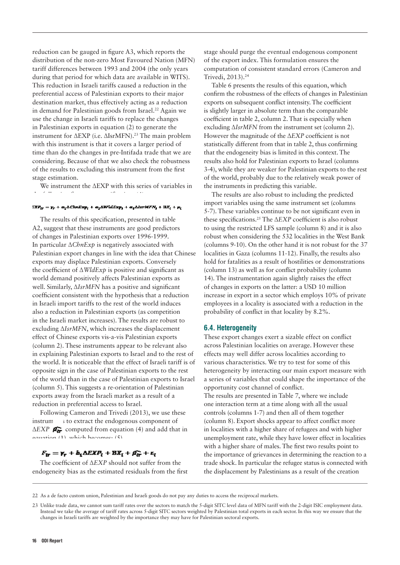reduction can be gauged in figure A3, which reports the distribution of the non-zero Most Favoured Nation (MFN) tariff differences between 1993 and 2004 (the only years during that period for which data are available in WITS). This reduction in Israeli tariffs caused a reduction in the preferential access of Palestinian exports to their major destination market, thus effectively acting as a reduction in demand for Palestinian goods from Israel.<sup>22</sup> Again we use the change in Israeli tariffs to replace the changes in Palestinian exports in equation (2) to generate the instrument for ∆EXP (i.e. ∆IsrMFN).23 The main problem with this instrument is that it covers a larger period of time than do the changes in pre-Intifada trade that we are considering. Because of that we also check the robustness of the results to excluding this instrument from the first stage estimation.

We instrument the ∆EXP with this series of variables in the following first stage specification:  $\frac{1}{2}$ 

#### $\textit{EXP}_{tr} = \textit{y}_{r} + \alpha_{1} \Delta \textit{ChnExp}_{l} + \alpha_{2} \Delta \textit{WldExp}_{l} + \alpha_{3} \Delta \textit{isrMFN}_{l} + \textit{RX}_{l} + \mu_{l}$

The results of this specification, presented in table A2, suggest that these instruments are good predictors of changes in Palestinian exports over 1996-1999. In particular ∆*ChnExp* is negatively associated with Palestinian export changes in line with the idea that Chinese exports may displace Palestinian exports. Conversely the coefficient of ∆*WldExp* is positive and significant as world demand positively affects Palestinian exports as well. Similarly, ∆*IsrMFN* has a positive and significant coefficient consistent with the hypothesis that a reduction in Israeli import tariffs to the rest of the world induces also a reduction in Palestinian exports (as competition in the Israeli market increases). The results are robust to excluding ∆*IsrMFN*, which increases the displacement effect of Chinese exports vis-a-vis Palestinian exports (column 2). These instruments appear to be relevant also in explaining Palestinian exports to Israel and to the rest of the world. It is noticeable that the effect of Israeli tariff is of opposite sign in the case of Palestinian exports to the rest of the world than in the case of Palestinian exports to Israel (column 5). This suggests a re-orientation of Palestinian exports away from the Israeli market as a result of a reduction in preferential access to Israel.

Following Cameron and Trivedi (2013), we use these instrum  $\rightarrow$  to extract the endogenous component of ∆*EXP* computed from equation (4) and add that in equation  $(1)$ , which becomes:  $(5)$ 

### $F_{tr} = \gamma_r + b_1 \Delta EXP_t + BX_t + \rho_{tr} + \varepsilon_t$

The coefficient of ∆*EXP* should not suffer from the endogeneity bias as the estimated residuals from the first stage should purge the eventual endogenous component of the export index. This formulation ensures the computation of consistent standard errors (Cameron and Trivedi, 2013).24

Table 6 presents the results of this equation, which confirm the robustness of the effects of changes in Palestinian exports on subsequent conflict intensity. The coefficient is slightly larger in absolute term than the comparable coefficient in table 2, column 2. That is especially when excluding ∆*IsrMFN* from the instrument set (column 2). However the magnitude of the ∆*EXP* coefficient is not statistically different from that in table 2, thus confirming that the endogeneity bias is limited in this context. The results also hold for Palestinian exports to Israel (columns 3-4), while they are weaker for Palestinian exports to the rest of the world, probably due to the relatively weak power of the instruments in predicting this variable.

The results are also robust to including the predicted import variables using the same instrument set (columns 5-7). These variables continue to be not significant even in these specifications.25 The ∆*EXP* coefficient is also robust to using the restricted LFS sample (column 8) and it is also robust when considering the 532 localities in the West Bank (columns 9-10). On the other hand it is not robust for the 37 localities in Gaza (columns 11-12). Finally, the results also hold for fatalities as a result of hostilities or demonstrations (column 13) as well as for conflict probability (column 14). The instrumentation again slightly raises the effect of changes in exports on the latter: a USD 10 million increase in export in a sector which employs 10% of private employees in a locality is associated with a reduction in the probability of conflict in that locality by 8.2%.

#### 6.4. Heterogeneity

These export changes exert a sizable effect on conflict across Palestinian localities on average. However these effects may well differ across localities according to various characteristics. We try to test for some of this heterogeneity by interacting our main export measure with a series of variables that could shape the importance of the opportunity cost channel of conflict.

The results are presented in Table 7, where we include one interaction term at a time along with all the usual controls (columns 1-7) and then all of them together (column 8). Export shocks appear to affect conflict more in localities with a higher share of refugees and with higher unemployment rate, while they have lower effect in localities with a higher share of males. The first two results point to the importance of grievances in determining the reaction to a trade shock. In particular the refugee status is connected with the displacement by Palestinians as a result of the creation

<sup>22</sup> As a de facto custom union, Palestinian and Israeli goods do not pay any duties to access the reciprocal markets.

<sup>23</sup> Unlike trade data, we cannot sum tariff rates over the sectors to match the 5-digit SITC level data of MFN tariff with the 2-digit ISIC employment data. Instead we take the average of tariff rates across 5-digit SITC sectors weighted by Palestinian total exports in each sector. In this way we ensure that the changes in Israeli tariffs are weighted by the importance they may have for Palestinian sectoral exports.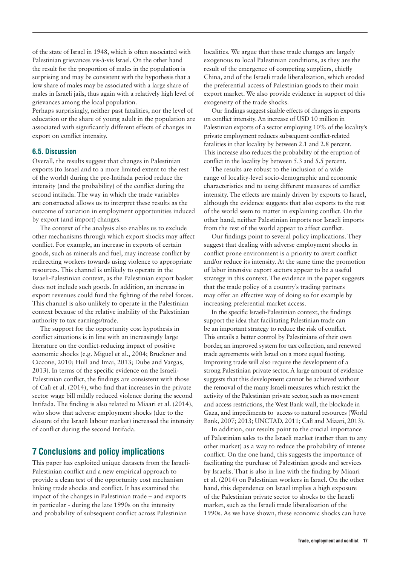of the state of Israel in 1948, which is often associated with Palestinian grievances vis-à-vis Israel. On the other hand the result for the proportion of males in the population is surprising and may be consistent with the hypothesis that a low share of males may be associated with a large share of males in Israeli jails, thus again with a relatively high level of grievances among the local population.

Perhaps surprisingly, neither past fatalities, nor the level of education or the share of young adult in the population are associated with significantly different effects of changes in export on conflict intensity.

#### 6.5. Discussion

Overall, the results suggest that changes in Palestinian exports (to Israel and to a more limited extent to the rest of the world) during the pre-Intifada period reduce the intensity (and the probability) of the conflict during the second intifada. The way in which the trade variables are constructed allows us to interpret these results as the outcome of variation in employment opportunities induced by export (and import) changes.

The context of the analysis also enables us to exclude other mechanisms through which export shocks may affect conflict. For example, an increase in exports of certain goods, such as minerals and fuel, may increase conflict by redirecting workers towards using violence to appropriate resources. This channel is unlikely to operate in the Israeli-Palestinian context, as the Palestinian export basket does not include such goods. In addition, an increase in export revenues could fund the fighting of the rebel forces. This channel is also unlikely to operate in the Palestinian context because of the relative inability of the Palestinian authority to tax earnings/trade.

The support for the opportunity cost hypothesis in conflict situations is in line with an increasingly large literature on the conflict-reducing impact of positive economic shocks (e.g. Miguel et al., 2004; Bruckner and Ciccone, 2010; Hull and Imai, 2013; Dube and Vargas, 2013). In terms of the specific evidence on the Israeli-Palestinian conflict, the findings are consistent with those of Calì et al. (2014), who find that increases in the private sector wage bill mildly reduced violence during the second Intifada. The finding is also related to Miaari et al. (2014), who show that adverse employment shocks (due to the closure of the Israeli labour market) increased the intensity of conflict during the second Intifada.

# 7 Conclusions and policy implications

This paper has exploited unique datasets from the Israeli-Palestinian conflict and a new empirical approach to provide a clean test of the opportunity cost mechanism linking trade shocks and conflict. It has examined the impact of the changes in Palestinian trade – and exports in particular - during the late 1990s on the intensity and probability of subsequent conflict across Palestinian

localities. We argue that these trade changes are largely exogenous to local Palestinian conditions, as they are the result of the emergence of competing suppliers, chiefly China, and of the Israeli trade liberalization, which eroded the preferential access of Palestinian goods to their main export market. We also provide evidence in support of this exogeneity of the trade shocks.

Our findings suggest sizable effects of changes in exports on conflict intensity. An increase of USD 10 million in Palestinian exports of a sector employing 10% of the locality's private employment reduces subsequent conflict-related fatalities in that locality by between 2.1 and 2.8 percent. This increase also reduces the probability of the eruption of conflict in the locality by between 5.3 and 5.5 percent.

The results are robust to the inclusion of a wide range of locality-level socio-demographic and economic characteristics and to using different measures of conflict intensity. The effects are mainly driven by exports to Israel, although the evidence suggests that also exports to the rest of the world seem to matter in explaining conflict. On the other hand, neither Palestinian imports nor Israeli imports from the rest of the world appear to affect conflict.

Our findings point to several policy implications. They suggest that dealing with adverse employment shocks in conflict prone environment is a priority to avert conflict and/or reduce its intensity. At the same time the promotion of labor intensive export sectors appear to be a useful strategy in this context. The evidence in the paper suggests that the trade policy of a country's trading partners may offer an effective way of doing so for example by increasing preferential market access.

In the specific Israeli-Palestinian context, the findings support the idea that facilitating Palestinian trade can be an important strategy to reduce the risk of conflict. This entails a better control by Palestinians of their own border, an improved system for tax collection, and renewed trade agreements with Israel on a more equal footing. Improving trade will also require the development of a strong Palestinian private sector. A large amount of evidence suggests that this development cannot be achieved without the removal of the many Israeli measures which restrict the activity of the Palestinian private sector, such as movement and access restrictions, the West Bank wall, the blockade in Gaza, and impediments to access to natural resources (World Bank, 2007; 2013; UNCTAD, 2011; Calì and Miaari, 2013).

In addition, our results point to the crucial importance of Palestinian sales to the Israeli market (rather than to any other market) as a way to reduce the probability of intense conflict. On the one hand, this suggests the importance of facilitating the purchase of Palestinian goods and services by Israelis. That is also in line with the finding by Miaari et al. (2014) on Palestinian workers in Israel. On the other hand, this dependence on Israel implies a high exposure of the Palestinian private sector to shocks to the Israeli market, such as the Israeli trade liberalization of the 1990s. As we have shown, these economic shocks can have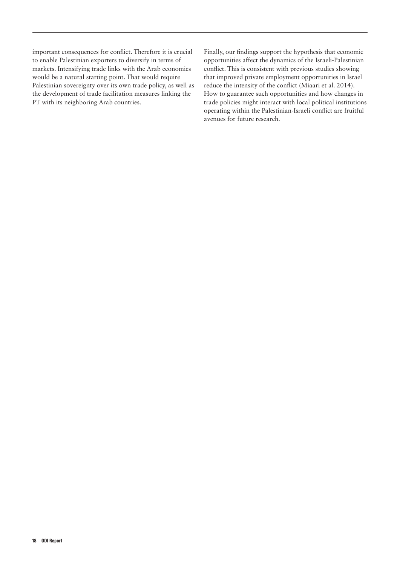important consequences for conflict. Therefore it is crucial to enable Palestinian exporters to diversify in terms of markets. Intensifying trade links with the Arab economies would be a natural starting point. That would require Palestinian sovereignty over its own trade policy, as well as the development of trade facilitation measures linking the PT with its neighboring Arab countries.

Finally, our findings support the hypothesis that economic opportunities affect the dynamics of the Israeli-Palestinian conflict. This is consistent with previous studies showing that improved private employment opportunities in Israel reduce the intensity of the conflict (Miaari et al. 2014). How to guarantee such opportunities and how changes in trade policies might interact with local political institutions operating within the Palestinian-Israeli conflict are fruitful avenues for future research.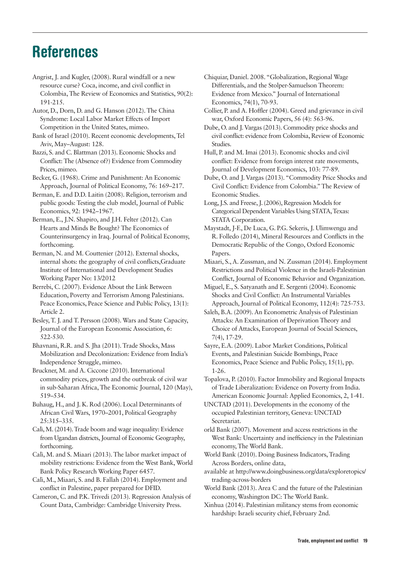# References

Angrist, J. and Kugler, (2008). Rural windfall or a new resource curse? Coca, income, and civil conflict in Colombia, The Review of Economics and Statistics, 90(2): 191-215.

Autor, D., Dorn, D. and G. Hanson (2012). The China Syndrome: Local Labor Market Effects of Import Competition in the United States, mimeo.

Bank of Israel (2010). Recent economic developments, Tel Aviv, May–August: 128.

Bazzi, S. and C. Blattman (2013). Economic Shocks and Conflict: The (Absence of?) Evidence from Commodity Prices, mimeo.

Becker, G. (1968). Crime and Punishment: An Economic Approach, Journal of Political Economy, 76: 169–217.

Berman, E. and D.D. Laitin (2008). Religion, terrorism and public goods: Testing the club model, Journal of Public Economics, 92: 1942–1967.

Berman, E., J.N. Shapiro, and J.H. Felter (2012). Can Hearts and Minds Be Bought? The Economics of Counterinsurgency in Iraq. Journal of Political Economy, forthcoming.

Berman, N. and M. Couttenier (2012). External shocks, internal shots: the geography of civil conflicts,Graduate Institute of International and Development Studies Working Paper No: 13/2012

Berrebi, C. (2007). Evidence About the Link Between Education, Poverty and Terrorism Among Palestinians. Peace Economics, Peace Science and Public Policy, 13(1): Article 2.

Besley, T. J. and T. Persson (2008). Wars and State Capacity, Journal of the European Economic Association, 6: 522-530.

Bhavnani, R.R. and S. Jha (2011). Trade Shocks, Mass Mobilization and Decolonization: Evidence from India's Independence Struggle, mimeo.

Bruckner, M. and A. Ciccone (2010). International commodity prices, growth and the outbreak of civil war in sub-Saharan Africa, The Economic Journal, 120 (May), 519–534.

Buhaug, H., and J. K. Rod (2006). Local Determinants of African Civil Wars, 1970–2001, Political Geography 25:315–335.

Calì, M. (2014). Trade boom and wage inequality: Evidence from Ugandan districts, Journal of Economic Geography, forthcoming.

Calì, M. and S. Miaari (2013). The labor market impact of mobility restrictions: Evidence from the West Bank, World Bank Policy Research Working Paper 6457.

Calì, M., Miaari, S. and B. Fallah (2014). Employment and conflict in Palestine, paper prepared for DFID.

Cameron, C. and P.K. Trivedi (2013). Regression Analysis of Count Data, Cambridge: Cambridge University Press.

Chiquiar, Daniel. 2008. "Globalization, Regional Wage Differentials, and the Stolper-Samuelson Theorem: Evidence from Mexico." Journal of International Economics, 74(1), 70-93.

Collier, P. and A. Hoffler (2004). Greed and grievance in civil war, Oxford Economic Papers, 56 (4): 563-96.

Dube, O. and J. Vargas (2013). Commodity price shocks and civil conflict: evidence from Colombia, Review of Economic Studies.

Hull, P. and M. Imai (2013). Economic shocks and civil conflict: Evidence from foreign interest rate movements, Journal of Development Economics, 103: 77-89.

Dube, O. and J. Vargas (2013). "Commodity Price Shocks and Civil Conflict: Evidence from Colombia." The Review of Economic Studies.

Long, J.S. and Freese, J. (2006), Regression Models for Categorical Dependent Variables Using STATA, Texas: STATA Corporation.

Maystadt, J-F., De Luca, G. P.G. Sekeris, J. Ulimwengu and R. Folledo (2014), Mineral Resources and Conflicts in the Democratic Republic of the Congo, Oxford Economic Papers.

Miaari, S., A. Zussman, and N. Zussman (2014). Employment Restrictions and Political Violence in the Israeli-Palestinian Conflict, Journal of Economic Behavior and Organization.

Miguel, E., S. Satyanath and E. Sergenti (2004). Economic Shocks and Civil Conflict: An Instrumental Variables Approach, Journal of Political Economy, 112(4): 725-753.

Saleh, B.A. (2009). An Econometric Analysis of Palestinian Attacks: An Examination of Deprivation Theory and Choice of Attacks, European Journal of Social Sciences, 7(4), 17-29.

Sayre, E.A. (2009). Labor Market Conditions, Political Events, and Palestinian Suicide Bombings, Peace Economics, Peace Science and Public Policy, 15(1), pp. 1-26.

Topalova, P. (2010). Factor Immobility and Regional Impacts of Trade Liberalization: Evidence on Poverty from India. American Economic Journal: Applied Economics, 2, 1-41.

UNCTAD (2011). Developments in the economy of the occupied Palestinian territory, Geneva: UNCTAD Secretariat.

orld Bank (2007). Movement and access restrictions in the West Bank: Uncertainty and inefficiency in the Palestinian economy, The World Bank.

World Bank (2010). Doing Business Indicators, Trading Across Borders, online data,

available at [http://www.doingbusiness.org/data/exploretopics/](http://www.doingbusiness.org/data/exploretopics/trading-across-borders) [trading-across-borders](http://www.doingbusiness.org/data/exploretopics/trading-across-borders)

World Bank (2013). Area C and the future of the Palestinian economy, Washington DC: The World Bank.

Xinhua (2014). Palestinian militancy stems from economic hardship: Israeli security chief, February 2nd.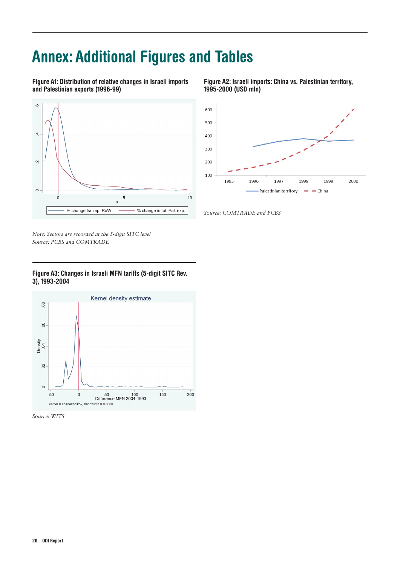# Annex: Additional Figures and Tables

Figure A1: Distribution of relative changes in Israeli imports and Palestinian exports (1996-99)



Figure A2: Israeli imports: China vs. Palestinian territory, 1995-2000 (USD mln)



*Source: COMTRADE and PCBS*

*Note: Sectors are recorded at the 5-digit SITC level Source: PCBS and COMTRADE*

#### Figure A3: Changes in Israeli MFN tariffs (5-digit SITC Rev. 3), 1993-2004



*Source: WITS*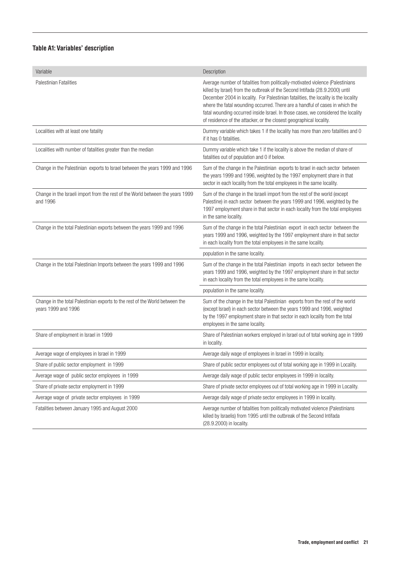### Table A1: Variables' description

| Variable                                                                                            | Description                                                                                                                                                                                                                                                                                                                                                                                                                                                                                       |
|-----------------------------------------------------------------------------------------------------|---------------------------------------------------------------------------------------------------------------------------------------------------------------------------------------------------------------------------------------------------------------------------------------------------------------------------------------------------------------------------------------------------------------------------------------------------------------------------------------------------|
| Palestinian Fatalities                                                                              | Average number of fatalities from politically-motivated violence (Palestinians<br>killed by Israel) from the outbreak of the Second Intifada (28.9.2000) until<br>December 2004 in locality. For Palestinian fatalities, the locality is the locality<br>where the fatal wounding occurred. There are a handful of cases in which the<br>fatal wounding occurred inside Israel. In those cases, we considered the locality<br>of residence of the attacker, or the closest geographical locality. |
| Localities with at least one fatality                                                               | Dummy variable which takes 1 if the locality has more than zero fatalities and 0<br>if it has 0 fatalities.                                                                                                                                                                                                                                                                                                                                                                                       |
| Localities with number of fatalities greater than the median                                        | Dummy variable which take 1 if the locality is above the median of share of<br>fatalities out of population and 0 if below.                                                                                                                                                                                                                                                                                                                                                                       |
| Change in the Palestinian exports to Israel between the years 1999 and 1996                         | Sum of the change in the Palestinian exports to Israel in each sector between<br>the years 1999 and 1996, weighted by the 1997 employment share in that<br>sector in each locality from the total employees in the same locality.                                                                                                                                                                                                                                                                 |
| Change in the Israeli import from the rest of the World between the years 1999<br>and 1996          | Sum of the change in the Israeli import from the rest of the world (except<br>Palestine) in each sector between the years 1999 and 1996, weighted by the<br>1997 employment share in that sector in each locality from the total employees<br>in the same locality.                                                                                                                                                                                                                               |
| Change in the total Palestinian exports between the years 1999 and 1996                             | Sum of the change in the total Palestinian export in each sector between the<br>years 1999 and 1996, weighted by the 1997 employment share in that sector<br>in each locality from the total employees in the same locality.                                                                                                                                                                                                                                                                      |
|                                                                                                     | population in the same locality.                                                                                                                                                                                                                                                                                                                                                                                                                                                                  |
| Change in the total Palestinian Imports between the years 1999 and 1996                             | Sum of the change in the total Palestinian imports in each sector between the<br>years 1999 and 1996, weighted by the 1997 employment share in that sector<br>in each locality from the total employees in the same locality.                                                                                                                                                                                                                                                                     |
|                                                                                                     | population in the same locality.                                                                                                                                                                                                                                                                                                                                                                                                                                                                  |
| Change in the total Palestinian exports to the rest of the World between the<br>years 1999 and 1996 | Sum of the change in the total Palestinian exports from the rest of the world<br>(except Israel) in each sector between the years 1999 and 1996, weighted<br>by the 1997 employment share in that sector in each locality from the total<br>employees in the same locality.                                                                                                                                                                                                                       |
| Share of employment in Israel in 1999                                                               | Share of Palestinian workers employed in Israel out of total working age in 1999<br>in locality.                                                                                                                                                                                                                                                                                                                                                                                                  |
| Average wage of employees in Israel in 1999                                                         | Average daily wage of employees in Israel in 1999 in locality.                                                                                                                                                                                                                                                                                                                                                                                                                                    |
| Share of public sector employment in 1999                                                           | Share of public sector employees out of total working age in 1999 in Locality.                                                                                                                                                                                                                                                                                                                                                                                                                    |
| Average wage of public sector employees in 1999                                                     | Average daily wage of public sector employees in 1999 in locality.                                                                                                                                                                                                                                                                                                                                                                                                                                |
| Share of private sector employment in 1999                                                          | Share of private sector employees out of total working age in 1999 in Locality.                                                                                                                                                                                                                                                                                                                                                                                                                   |
| Average wage of private sector employees in 1999                                                    | Average daily wage of private sector employees in 1999 in locality.                                                                                                                                                                                                                                                                                                                                                                                                                               |
| Fatalities between January 1995 and August 2000                                                     | Average number of fatalities from politically motivated violence (Palestinians<br>killed by Israelis) from 1995 until the outbreak of the Second Intifada<br>(28.9.2000) in locality.                                                                                                                                                                                                                                                                                                             |